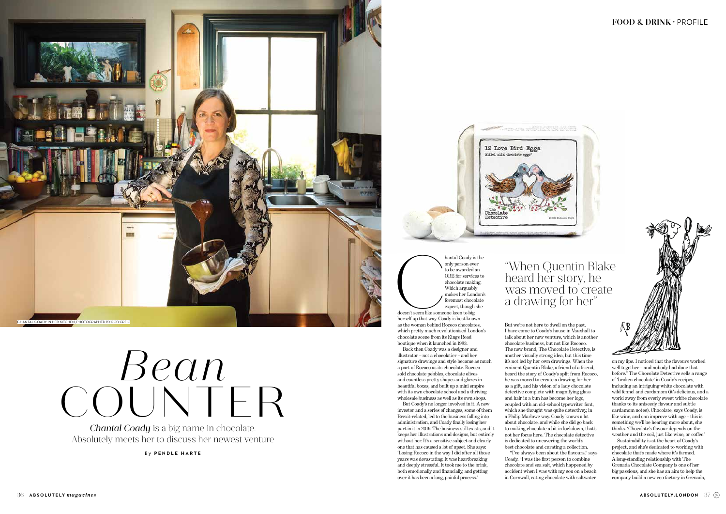But we're not here to dwell on the past. I have come to Coady's house in Vauxhall to talk about her new venture, which is another chocolate business, but not like Rococo. The new brand, The Chocolate Detective, is another visually strong idea, but this time it's not led by her own drawings. When the eminent Quentin Blake, a friend of a friend, heard the story of Coady's split from Rococo, he was moved to create a drawing for her as a gift, and his vision of a lady chocolate detective complete with magnifying glass and hair in a bun has become her logo, coupled with an old-school typewriter font, which she thought was quite detectivey, in a Philip Marlowe way. Coady knows a lot about chocolate, and while she did go back to making chocolate a bit in lockdown, that's not her focus here. The chocolate detective is dedicated to uncovering the world's best chocolate and curating a collection. Coady. "I was the first person to combine chocolate and sea salt, which happened by accident when I was with my son on a beach in Cornwall, eating chocolate with saltwater

"I've always been about the flavours," says

hantal Coady is the<br>
only person ever<br>
to be awarded an<br>
OBE for services to<br>
chocolate making.<br>
Which arguably<br>
makes her London's<br>
foremost chocolate<br>
expert, though she<br>
doesn't seem like someone keen to big<br>
herself up only person ever to be awarded an OBE for services to chocolate making. Which arguably makes her London's foremost chocolate expert, though she doesn't seem like someone keen to big

on my lips. I noticed that the flavours worked well together – and nobody had done that before." The Chocolate Detective sells a range of 'broken chocolate' in Coady's recipes, including an intriguing white chocolate with wild fennel and cardamom (it's delicious, and a world away from overly sweet white chocolate thanks to its aniseedy flavour and subtle cardamom notes). Chocolate, says Coady, is like wine, and can improve with age – this is something we'll be hearing more about, she thinks. 'Chocolate's flavour depends on the weather and the soil, just like wine, or coffee.'

## "When Quentin Blake heard her story, he was moved to create a drawing for her'



Sustainability is at the heart of Coady's project, and she's dedicated to working with chocolate that's made where it's farmed. A long-standing relationship with The Grenada Chocolate Company is one of her big passions, and she has an aim to help the company build a new eco factory in Grenada,

*Chantal Coady* is a big name in chocolate. Absolutely meets her to discuss her newest venture herself up that way. Coady is best known as the woman behind Rococo chocolates, which pretty much revolutionised London's chocolate scene from its Kings Road boutique when it launched in 1983.

Back then Coady was a designer and illustrator – not a chocolatier – and her signature drawings and style became as much a part of Rococo as its chocolate. Rococo sold chocolate pebbles, chocolate olives and countless pretty shapes and glazes in beautiful boxes, and built up a mini empire with its own chocolate school and a thriving wholesale business as well as its own shops.

## COUNTER *Bean*

But Coady's no longer involved in it. A new investor and a series of changes, some of them Brexit-related, led to the business falling into administration, and Coady finally losing her part in it in 2019. The business still exists, and it keeps her illustrations and designs, but entirely without her. It's a sensitive subject and clearly one that has caused a lot of upset. She says: 'Losing Rococo in the way I did after all those years was devastating. It was heartbreaking and deeply stressful. It took me to the brink, both emotionally and financially, and getting over it has been a long, painful process.'

By **PENDLE HARTE**